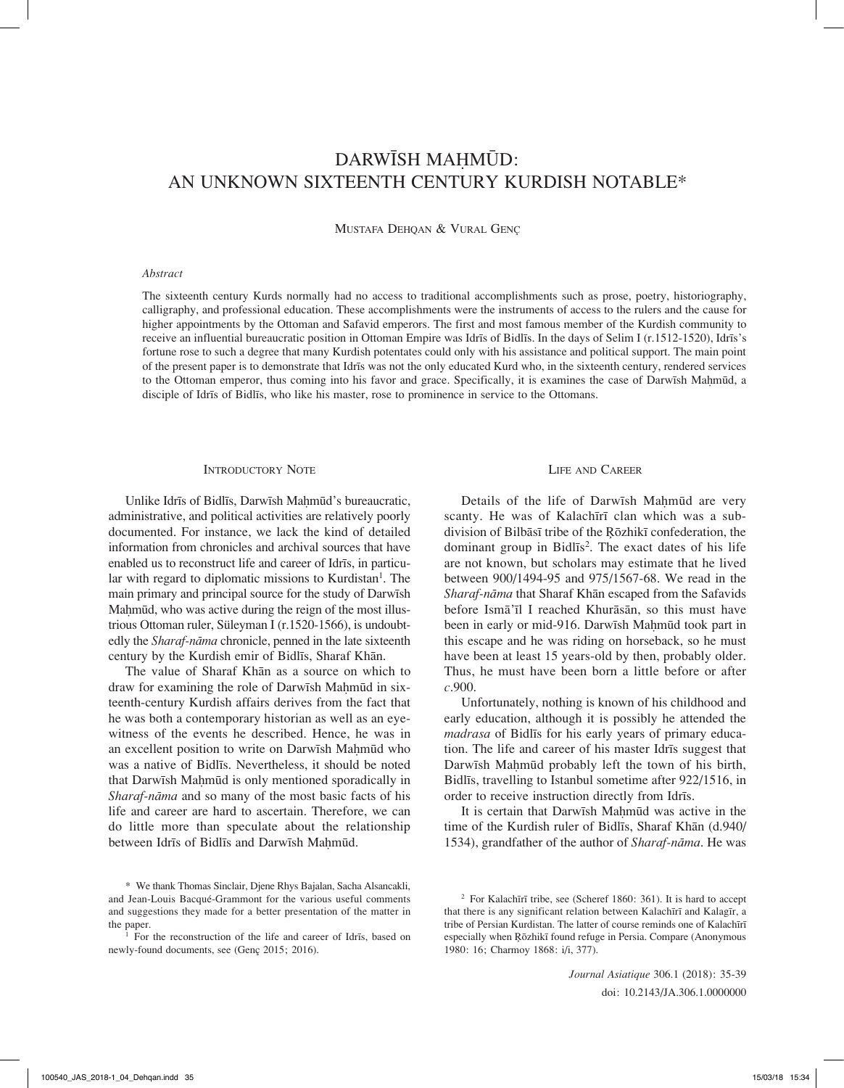# DARWĪSH MAḤMŪD: AN UNKNOWN SIXTEENTH CENTURY KURDISH NOTABLE\*

Mustafa Dehqan & Vural Genç

# *Abstract*

The sixteenth century Kurds normally had no access to traditional accomplishments such as prose, poetry, historiography, calligraphy, and professional education. These accomplishments were the instruments of access to the rulers and the cause for higher appointments by the Ottoman and Safavid emperors. The first and most famous member of the Kurdish community to receive an influential bureaucratic position in Ottoman Empire was Idrīs of Bidlīs. In the days of Selim I (r.1512-1520), Idrīs's fortune rose to such a degree that many Kurdish potentates could only with his assistance and political support. The main point of the present paper is to demonstrate that Idrīs was not the only educated Kurd who, in the sixteenth century, rendered services to the Ottoman emperor, thus coming into his favor and grace. Specifically, it is examines the case of Darwīsh Mahmūd, a disciple of Idrīs of Bidlīs, who like his master, rose to prominence in service to the Ottomans.

#### INTRODUCTORY NOTE

Unlike Idrīs of Bidlīs, Darwīsh Mahmūd's bureaucratic, administrative, and political activities are relatively poorly documented. For instance, we lack the kind of detailed information from chronicles and archival sources that have enabled us to reconstruct life and career of Idrīs, in particular with regard to diplomatic missions to Kurdistan<sup>1</sup>. The main primary and principal source for the study of Darwīsh Mahmūd, who was active during the reign of the most illustrious Ottoman ruler, Süleyman I (r.1520-1566), is undoubtedly the *Sharaf-nāma* chronicle, penned in the late sixteenth century by the Kurdish emir of Bidlīs, Sharaf Khān.

The value of Sharaf Khān as a source on which to draw for examining the role of Darwīsh Mahmūd in sixteenth-century Kurdish affairs derives from the fact that he was both a contemporary historian as well as an eyewitness of the events he described. Hence, he was in an excellent position to write on Darwīsh Mahmūd who was a native of Bidlīs. Nevertheless, it should be noted that Darwīsh Mahmūd is only mentioned sporadically in *Sharaf-nāma* and so many of the most basic facts of his life and career are hard to ascertain. Therefore, we can do little more than speculate about the relationship between Idrīs of Bidlīs and Darwīsh Mahmūd.

# Life and Career

Details of the life of Darwīsh Maḥmūd are very scanty. He was of Kalachīrī clan which was a subdivision of Bilbāsī tribe of the Ŗōzhikī confederation, the dominant group in Bidlis<sup>2</sup>. The exact dates of his life are not known, but scholars may estimate that he lived between 900/1494-95 and 975/1567-68. We read in the *Sharaf-nāma* that Sharaf Khān escaped from the Safavids before Ismā'īl I reached Khurāsān, so this must have been in early or mid-916. Darwīsh Maḥmūd took part in this escape and he was riding on horseback, so he must have been at least 15 years-old by then, probably older. Thus, he must have been born a little before or after *c*.900.

Unfortunately, nothing is known of his childhood and early education, although it is possibly he attended the *madrasa* of Bidlīs for his early years of primary education. The life and career of his master Idrīs suggest that Darwīsh Mahmūd probably left the town of his birth, Bidlīs, travelling to Istanbul sometime after 922/1516, in order to receive instruction directly from Idrīs.

It is certain that Darwīsh Mahmūd was active in the time of the Kurdish ruler of Bidlīs, Sharaf Khān (d.940/ 1534), grandfather of the author of *Sharaf-nāma*. He was

*Journal Asiatique* 306.1 (2018): 35-39 doi: 10.2143/JA.306.1.0000000

<sup>\*</sup> We thank Thomas Sinclair, Djene Rhys Bajalan, Sacha Alsancakli, and Jean-Louis Bacqué-Grammont for the various useful comments and suggestions they made for a better presentation of the matter in the paper.

<sup>1</sup> For the reconstruction of the life and career of Idrīs, based on newly-found documents, see (Genç 2015; 2016).

<sup>2</sup> For Kalachīrī tribe, see (Scheref 1860: 361). It is hard to accept that there is any significant relation between Kalachīrī and Kalagīr, a tribe of Persian Kurdistan. The latter of course reminds one of Kalachīrī especially when Ŗōzhikī found refuge in Persia. Compare (Anonymous 1980: 16; Charmoy 1868: i/i, 377).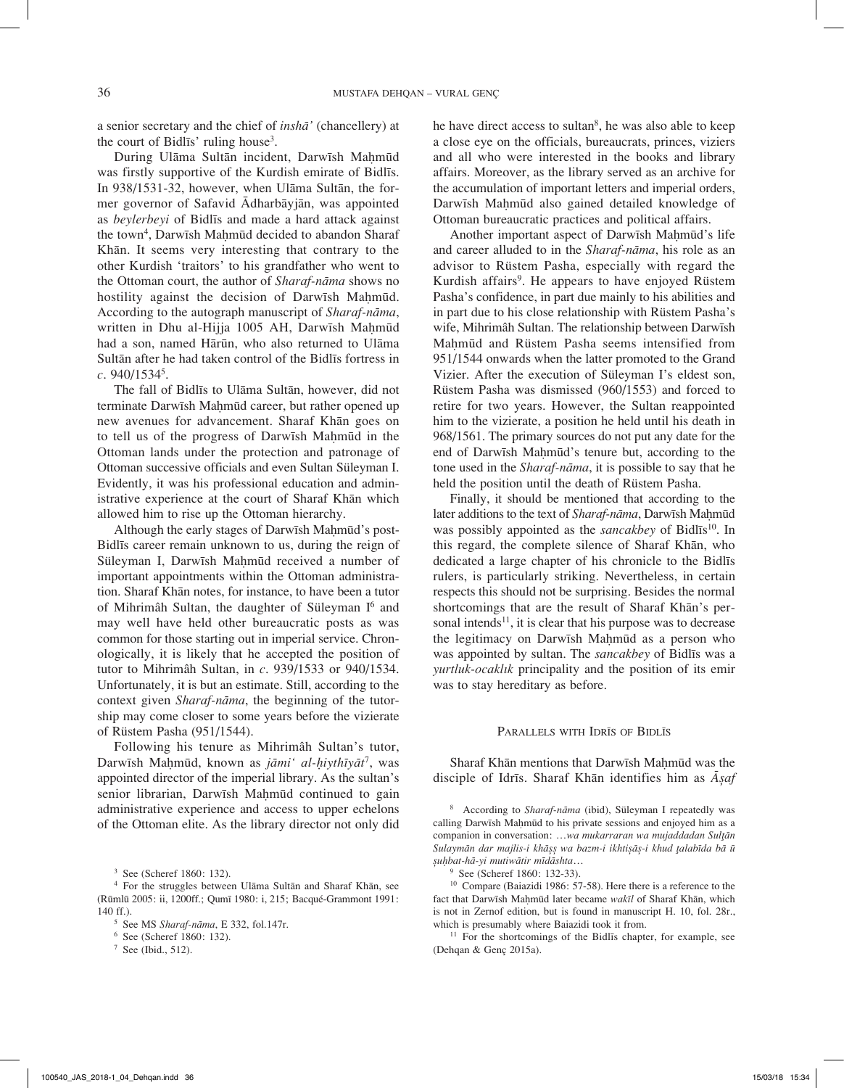a senior secretary and the chief of *inshā'* (chancellery) at the court of Bidlīs' ruling house3 .

During Ulāma Sultān incident, Darwīsh Mahmūd was firstly supportive of the Kurdish emirate of Bidlīs. In 938/1531-32, however, when Ulāma Sultān, the former governor of Safavid Ādharbāyjān, was appointed as *beylerbeyi* of Bidlīs and made a hard attack against the town<sup>4</sup>, Darwīsh Maḥmūd decided to abandon Sharaf Khān. It seems very interesting that contrary to the other Kurdish 'traitors' to his grandfather who went to the Ottoman court, the author of *Sharaf-nāma* shows no hostility against the decision of Darwīsh Mahmūd. According to the autograph manuscript of *Sharaf-nāma*, written in Dhu al-Hijja 1005 AH, Darwīsh Maḥmūd had a son, named Hārūn, who also returned to Ulāma Sultān after he had taken control of the Bidlīs fortress in *c*. 940/15345 .

The fall of Bidlīs to Ulāma Sultān, however, did not terminate Darwīsh Mahmūd career, but rather opened up new avenues for advancement. Sharaf Khān goes on to tell us of the progress of Darwīsh Mahmūd in the Ottoman lands under the protection and patronage of Ottoman successive officials and even Sultan Süleyman I. Evidently, it was his professional education and administrative experience at the court of Sharaf Khān which allowed him to rise up the Ottoman hierarchy.

Although the early stages of Darwīsh Mahmūd's post-Bidlīs career remain unknown to us, during the reign of Süleyman I, Darwīsh Mahmūd received a number of important appointments within the Ottoman administration. Sharaf Khān notes, for instance, to have been a tutor of Mihrimâh Sultan, the daughter of Süleyman I<sup>6</sup> and may well have held other bureaucratic posts as was common for those starting out in imperial service. Chronologically, it is likely that he accepted the position of tutor to Mihrimâh Sultan, in *c*. 939/1533 or 940/1534. Unfortunately, it is but an estimate. Still, according to the context given *Sharaf-nāma*, the beginning of the tutorship may come closer to some years before the vizierate of Rüstem Pasha (951/1544).

Following his tenure as Mihrimâh Sultan's tutor, Darwīsh Maḥmūd, known as *jāmi' al-ḥiythīyāt*7, was appointed director of the imperial library. As the sultan's senior librarian, Darwīsh Mahmūd continued to gain administrative experience and access to upper echelons of the Ottoman elite. As the library director not only did

<sup>3</sup> See (Scheref 1860: 132).

he have direct access to sultan<sup>8</sup>, he was also able to keep a close eye on the officials, bureaucrats, princes, viziers and all who were interested in the books and library affairs. Moreover, as the library served as an archive for the accumulation of important letters and imperial orders, Darwīsh Mahmūd also gained detailed knowledge of Ottoman bureaucratic practices and political affairs.

Another important aspect of Darwīsh Mahmūd's life and career alluded to in the *Sharaf-nāma*, his role as an advisor to Rüstem Pasha, especially with regard the Kurdish affairs<sup>9</sup>. He appears to have enjoyed Rüstem Pasha's confidence, in part due mainly to his abilities and in part due to his close relationship with Rüstem Pasha's wife, Mihrimâh Sultan. The relationship between Darwīsh Mahmūd and Rüstem Pasha seems intensified from 951/1544 onwards when the latter promoted to the Grand Vizier. After the execution of Süleyman I's eldest son, Rüstem Pasha was dismissed (960/1553) and forced to retire for two years. However, the Sultan reappointed him to the vizierate, a position he held until his death in 968/1561. The primary sources do not put any date for the end of Darwīsh Maḥmūd's tenure but, according to the tone used in the *Sharaf-nāma*, it is possible to say that he held the position until the death of Rüstem Pasha.

Finally, it should be mentioned that according to the later additions to the text of *Sharaf-nāma*, Darwīsh Mahmūd was possibly appointed as the *sancakbey* of Bidlīs<sup>10</sup>. In this regard, the complete silence of Sharaf Khān, who dedicated a large chapter of his chronicle to the Bidlīs rulers, is particularly striking. Nevertheless, in certain respects this should not be surprising. Besides the normal shortcomings that are the result of Sharaf Khān's personal intends<sup>11</sup>, it is clear that his purpose was to decrease the legitimacy on Darwīsh Mahmūd as a person who was appointed by sultan. The *sancakbey* of Bidlīs was a *yurtluk-ocaklık* principality and the position of its emir was to stay hereditary as before.

#### PARALLELS WITH IDRĪS OF BIDLĪS

Sharaf Khān mentions that Darwīsh Maḥmūd was the disciple of Idrīs. Sharaf Khān identifies him as *Āșaf* 

8 According to *Sharaf-nāma* (ibid), Süleyman I repeatedly was calling Darwīsh Maḥmūd to his private sessions and enjoyed him as a companion in conversation: …*wa mukarraran wa mujaddadan Sulţān Sulaymān dar majlis-i khāșș wa bazm-i ikhtișāș-i khud ţalabīda bā ū șuḥbat-hā-yi mutiwātir mīdāshta*…

<sup>9</sup> See (Scheref 1860: 132-33).

<sup>10</sup> Compare (Baiazidi 1986: 57-58). Here there is a reference to the fact that Darwīsh Mahmūd later became wakīl of Sharaf Khān, which is not in Zernof edition, but is found in manuscript H. 10, fol. 28r., which is presumably where Baiazidi took it from.<br><sup>11</sup> For the shortcomings of the Bidlīs chapter, for example, see

(Dehqan & Genç 2015a).

<sup>4</sup> For the struggles between Ulāma Sultān and Sharaf Khān, see (Rūmlū 2005: ii, 1200ff.; Qumī 1980: i, 215; Bacqué-Grammont 1991: 140 ff.). 5 See MS *Sharaf-nāma*, E 332, fol.147r.

<sup>6</sup> See (Scheref 1860: 132).

 $7$  See (Ibid., 512).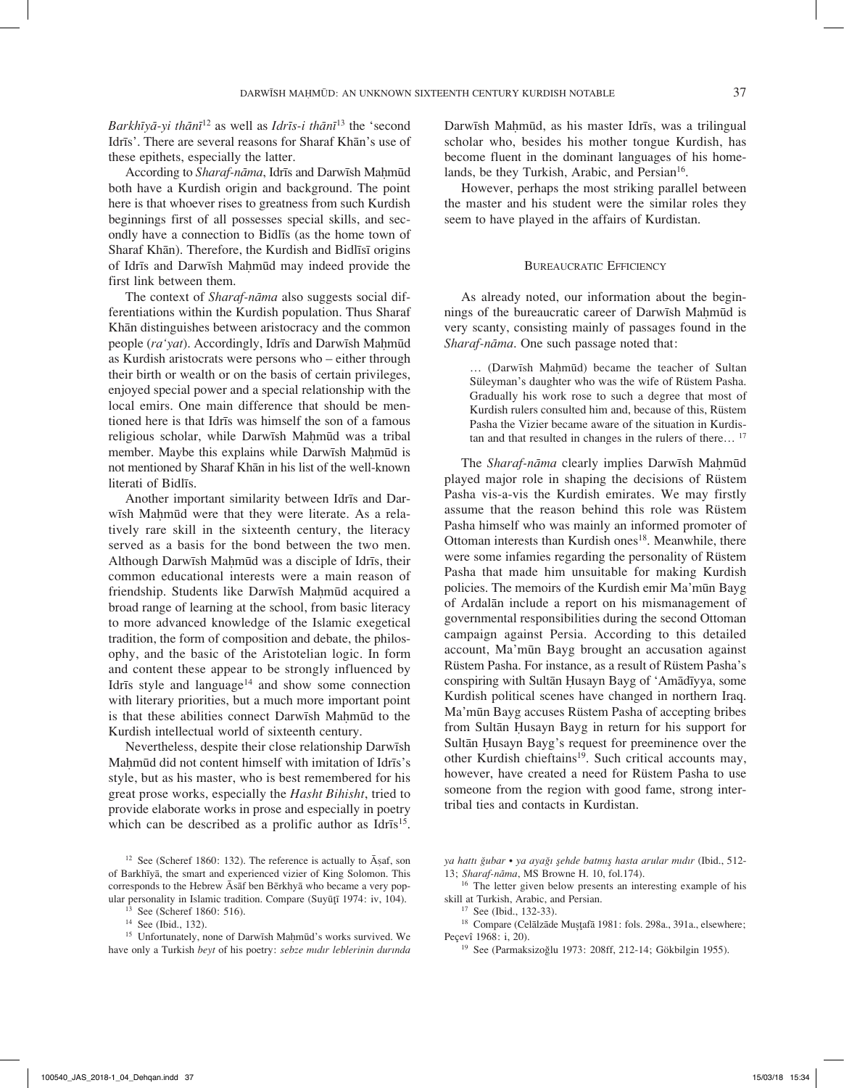*Barkhīyā-yi thānī*<sup>12</sup> as well as *Idrīs-i thānī*13 the 'second Idrīs'. There are several reasons for Sharaf Khān's use of these epithets, especially the latter.

According to *Sharaf-nāma*, Idrīs and Darwīsh Mahmūd both have a Kurdish origin and background. The point here is that whoever rises to greatness from such Kurdish beginnings first of all possesses special skills, and secondly have a connection to Bidlīs (as the home town of Sharaf Khān). Therefore, the Kurdish and Bidlīsī origins of Idrīs and Darwīsh Mahmūd may indeed provide the first link between them.

The context of *Sharaf-nāma* also suggests social differentiations within the Kurdish population. Thus Sharaf Khān distinguishes between aristocracy and the common people (*ra'yat*). Accordingly, Idrīs and Darwīsh Mahmūd as Kurdish aristocrats were persons who – either through their birth or wealth or on the basis of certain privileges, enjoyed special power and a special relationship with the local emirs. One main difference that should be mentioned here is that Idrīs was himself the son of a famous religious scholar, while Darwīsh Mahmūd was a tribal member. Maybe this explains while Darwīsh Maḥmūd is not mentioned by Sharaf Khān in his list of the well-known literati of Bidlīs.

Another important similarity between Idrīs and Darwīsh Mahmūd were that they were literate. As a relatively rare skill in the sixteenth century, the literacy served as a basis for the bond between the two men. Although Darwīsh Mahmūd was a disciple of Idrīs, their common educational interests were a main reason of friendship. Students like Darwīsh Mahmūd acquired a broad range of learning at the school, from basic literacy to more advanced knowledge of the Islamic exegetical tradition, the form of composition and debate, the philosophy, and the basic of the Aristotelian logic. In form and content these appear to be strongly influenced by Idrīs style and language<sup>14</sup> and show some connection with literary priorities, but a much more important point is that these abilities connect Darwīsh Mahmūd to the Kurdish intellectual world of sixteenth century.

Nevertheless, despite their close relationship Darwīsh Maḥmūd did not content himself with imitation of Idrīs's style, but as his master, who is best remembered for his great prose works, especially the *Hasht Bihisht*, tried to provide elaborate works in prose and especially in poetry which can be described as a prolific author as Idrīs<sup>15</sup>.

<sup>12</sup> See (Scheref 1860: 132). The reference is actually to  $\bar{A}$ saf, son of Barkhīyā, the smart and experienced vizier of King Solomon. This corresponds to the Hebrew Āsāf ben Bērkhyā who became a very popular personality in Islamic tradition. Compare (Suyūţī 1974: iv, 104).

<sup>15</sup> Unfortunately, none of Darwīsh Mahmūd's works survived. We have only a Turkish *beyt* of his poetry: *sebze mıdır leblerinin durında* 

Darwīsh Mahmūd, as his master Idrīs, was a trilingual scholar who, besides his mother tongue Kurdish, has become fluent in the dominant languages of his homelands, be they Turkish, Arabic, and Persian<sup>16</sup>.

However, perhaps the most striking parallel between the master and his student were the similar roles they seem to have played in the affairs of Kurdistan.

## Bureaucratic Efficiency

As already noted, our information about the beginnings of the bureaucratic career of Darwīsh Mahmūd is very scanty, consisting mainly of passages found in the *Sharaf-nāma*. One such passage noted that:

… (Darwīsh Maḥmūd) became the teacher of Sultan Süleyman's daughter who was the wife of Rüstem Pasha. Gradually his work rose to such a degree that most of Kurdish rulers consulted him and, because of this, Rüstem Pasha the Vizier became aware of the situation in Kurdistan and that resulted in changes in the rulers of there...<sup>17</sup>

The *Sharaf-nāma* clearly implies Darwīsh Mahmūd played major role in shaping the decisions of Rüstem Pasha vis-a-vis the Kurdish emirates. We may firstly assume that the reason behind this role was Rüstem Pasha himself who was mainly an informed promoter of Ottoman interests than Kurdish ones<sup>18</sup>. Meanwhile, there were some infamies regarding the personality of Rüstem Pasha that made him unsuitable for making Kurdish policies. The memoirs of the Kurdish emir Ma'mūn Bayg of Ardalān include a report on his mismanagement of governmental responsibilities during the second Ottoman campaign against Persia. According to this detailed account, Ma'mūn Bayg brought an accusation against Rüstem Pasha. For instance, as a result of Rüstem Pasha's conspiring with Sultān Ḥusayn Bayg of 'Amādīyya, some Kurdish political scenes have changed in northern Iraq. Ma'mūn Bayg accuses Rüstem Pasha of accepting bribes from Sultān Ḥusayn Bayg in return for his support for Sultān Ḥusayn Bayg's request for preeminence over the other Kurdish chieftains<sup>19</sup>. Such critical accounts may, however, have created a need for Rüstem Pasha to use someone from the region with good fame, strong intertribal ties and contacts in Kurdistan.

*ya hattı ğubar* • *ya ayağı şehde batmış hasta arular mıdır* (Ibid., 512-

<sup>16</sup> The letter given below presents an interesting example of his skill at Turkish, Arabic, and Persian. 17 See (Ibid., 132-33).

<sup>18</sup> Compare (Celālzāde Mușţafā 1981: fols. 298a., 391a., elsewhere; Peçevî 1968: i, 20).

<sup>19</sup> See (Parmaksizoğlu 1973: 208ff, 212-14; Gökbilgin 1955).

<sup>&</sup>lt;sup>13</sup> See (Scheref 1860: 516).<br><sup>14</sup> See (Ibid., 132).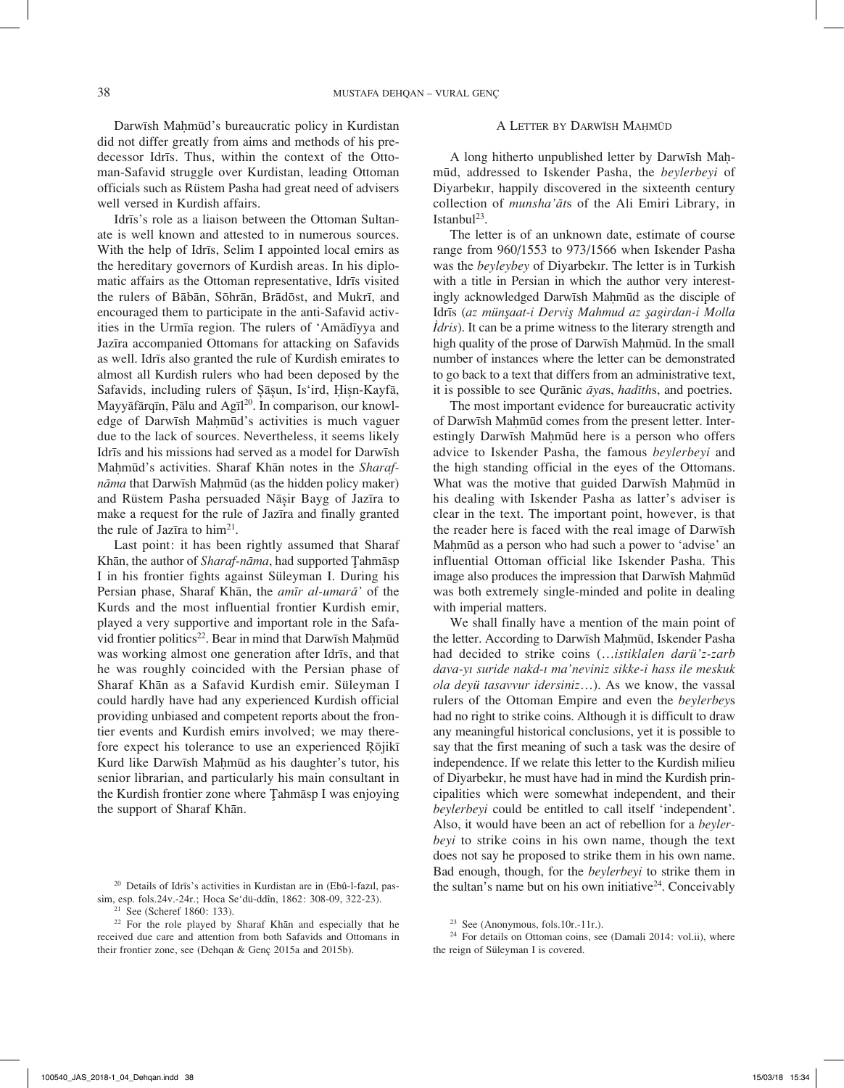Darwīsh Mahmūd's bureaucratic policy in Kurdistan did not differ greatly from aims and methods of his predecessor Idrīs. Thus, within the context of the Ottoman-Safavid struggle over Kurdistan, leading Ottoman officials such as Rüstem Pasha had great need of advisers well versed in Kurdish affairs.

Idrīs's role as a liaison between the Ottoman Sultanate is well known and attested to in numerous sources. With the help of Idrīs, Selim I appointed local emirs as the hereditary governors of Kurdish areas. In his diplomatic affairs as the Ottoman representative, Idrīs visited the rulers of Bābān, Sōhrān, Brādōst, and Mukrī, and encouraged them to participate in the anti-Safavid activities in the Urmīa region. The rulers of 'Amādīyya and Jazīra accompanied Ottomans for attacking on Safavids as well. Idrīs also granted the rule of Kurdish emirates to almost all Kurdish rulers who had been deposed by the Safavids, including rulers of Șāșun, Is'ird, Ḥișn-Kayfā, Mayyāfārqīn, Pālu and Agīl<sup>20</sup>. In comparison, our knowledge of Darwīsh Mahmūd's activities is much vaguer due to the lack of sources. Nevertheless, it seems likely Idrīs and his missions had served as a model for Darwīsh Mahmūd's activities. Sharaf Khān notes in the *Sharafnāma* that Darwīsh Maḥmūd (as the hidden policy maker) and Rüstem Pasha persuaded Nāșir Bayg of Jazīra to make a request for the rule of Jazīra and finally granted the rule of Jazīra to  $him<sup>21</sup>$ .

Last point: it has been rightly assumed that Sharaf Khān, the author of *Sharaf-nāma*, had supported Ţahmāsp I in his frontier fights against Süleyman I. During his Persian phase, Sharaf Khān, the *amīr al-umarā'* of the Kurds and the most influential frontier Kurdish emir, played a very supportive and important role in the Safavid frontier politics<sup>22</sup>. Bear in mind that Darwīsh Maḥmūd was working almost one generation after Idrīs, and that he was roughly coincided with the Persian phase of Sharaf Khān as a Safavid Kurdish emir. Süleyman I could hardly have had any experienced Kurdish official providing unbiased and competent reports about the frontier events and Kurdish emirs involved; we may therefore expect his tolerance to use an experienced Ŗōjikī Kurd like Darwīsh Maḥmūd as his daughter's tutor, his senior librarian, and particularly his main consultant in the Kurdish frontier zone where Ţahmāsp I was enjoying the support of Sharaf Khān.

## A LETTER BY DARWĪSH MAHMŪD

A long hitherto unpublished letter by Darwīsh Maḥmūd, addressed to Iskender Pasha, the *beylerbeyi* of Diyarbekır, happily discovered in the sixteenth century collection of *munsha'āt*s of the Ali Emiri Library, in Istanbul<sup>23</sup>.

The letter is of an unknown date, estimate of course range from 960/1553 to 973/1566 when Iskender Pasha was the *beyleybey* of Diyarbekır. The letter is in Turkish with a title in Persian in which the author very interestingly acknowledged Darwīsh Mahmūd as the disciple of Idrīs (*az münşaat-i Derviş Mahmud az şagirdan-i Molla <i>Idris*). It can be a prime witness to the literary strength and high quality of the prose of Darwīsh Mahmūd. In the small number of instances where the letter can be demonstrated to go back to a text that differs from an administrative text, it is possible to see Qurānic *āya*s, *hadīth*s, and poetries.

The most important evidence for bureaucratic activity of Darwīsh Maḥmūd comes from the present letter. Interestingly Darwīsh Mahmūd here is a person who offers advice to Iskender Pasha, the famous *beylerbeyi* and the high standing official in the eyes of the Ottomans. What was the motive that guided Darwīsh Mahmūd in his dealing with Iskender Pasha as latter's adviser is clear in the text. The important point, however, is that the reader here is faced with the real image of Darwīsh Mahmūd as a person who had such a power to 'advise' an influential Ottoman official like Iskender Pasha. This image also produces the impression that Darwīsh Mahmūd was both extremely single-minded and polite in dealing with imperial matters.

We shall finally have a mention of the main point of the letter. According to Darwīsh Mahmūd, Iskender Pasha had decided to strike coins (…*istiklalen darü'z-zarb dava-yı suride nakd-ı ma'neviniz sikke-i hass ile meskuk ola deyü tasavvur idersiniz*…). As we know, the vassal rulers of the Ottoman Empire and even the *beylerbey*s had no right to strike coins. Although it is difficult to draw any meaningful historical conclusions, yet it is possible to say that the first meaning of such a task was the desire of independence. If we relate this letter to the Kurdish milieu of Diyarbekır, he must have had in mind the Kurdish principalities which were somewhat independent, and their *beylerbeyi* could be entitled to call itself 'independent'. Also, it would have been an act of rebellion for a *beylerbeyi* to strike coins in his own name, though the text does not say he proposed to strike them in his own name. Bad enough, though, for the *beylerbeyi* to strike them in the sultan's name but on his own initiative $24$ . Conceivably

<sup>&</sup>lt;sup>20</sup> Details of Idrīs's activities in Kurdistan are in (Ebû-l-fazıl, pas-<br>sim, esp. fols.24v.-24r.; Hoca Se'dü-ddîn, 1862: 308-09, 322-23).

<sup>&</sup>lt;sup>21</sup> See (Scheref 1860: 133).<br><sup>22</sup> For the role played by Sharaf Khān and especially that he received due care and attention from both Safavids and Ottomans in their frontier zone, see (Dehqan & Genç 2015a and 2015b).

<sup>23</sup> See (Anonymous, fols.10r.-11r.).

 $24$  For details on Ottoman coins, see (Damali 2014: vol.ii), where the reign of Süleyman I is covered.